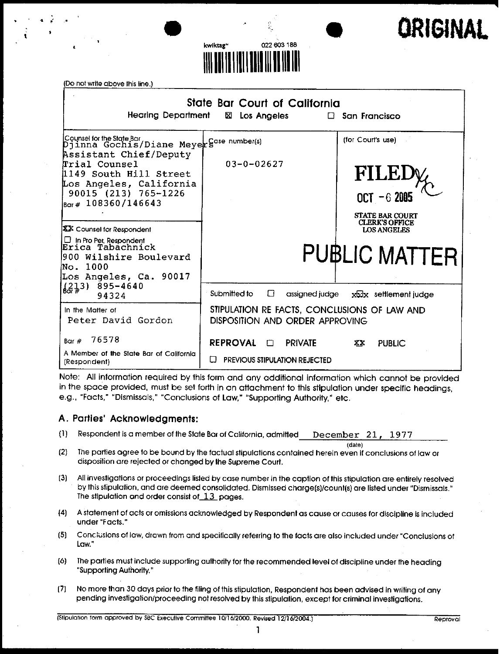



| <b>Hearing Department</b>                                                                                                                                                                                                                                                                                                                                                                | State Bar Court of California<br>x<br>Los Angeles                               | $\Box$ San Francisco                                                                                                                                |
|------------------------------------------------------------------------------------------------------------------------------------------------------------------------------------------------------------------------------------------------------------------------------------------------------------------------------------------------------------------------------------------|---------------------------------------------------------------------------------|-----------------------------------------------------------------------------------------------------------------------------------------------------|
| Counsel for the State Bar,<br>Djinna Gochis/Diane Meyer Sase number(s)<br>Assistant Chief/Deputy<br>Trial Counsel<br>1149 South Hill Street<br>Los Angeles, California<br>90015 (213) 765-1226<br>$_{\text{Bar} \#} 108360/146643$<br><b>XX</b> Counsel for Respondent<br> □ In Pro Per Respondent<br> Erica Tabachnick<br>1900 Wilshire Boulevard<br>No. 1000<br>Los Angeles, Ca. 90017 | $03 - 0 - 02627$                                                                | (for Court's use)<br><b>FILEI</b><br>$OCT = 62005$<br><b>STATE BAR COURT</b><br><b>CLERK'S OFFICE</b><br><b>LOS ANGELES</b><br><b>PUBLIC MATTER</b> |
| $\left(\begin{array}{c} 213 \\ 2 \end{array}\right)$ 895-4640<br>94324                                                                                                                                                                                                                                                                                                                   | Submitted to<br>$\Box$                                                          | assigned judge $x \sqrt{x}$ settlement judge                                                                                                        |
| In the Matter of<br>Peter David Gordon                                                                                                                                                                                                                                                                                                                                                   | STIPULATION RE FACTS, CONCLUSIONS OF LAW AND<br>DISPOSITION AND ORDER APPROVING |                                                                                                                                                     |
| 76578<br>Bar $#$<br>A Member of the State Bar of California                                                                                                                                                                                                                                                                                                                              | REPROVAL O<br><b>PRIVATE</b>                                                    | <b>PUBLIC</b><br>XХ                                                                                                                                 |
| (Respondent)                                                                                                                                                                                                                                                                                                                                                                             | PREVIOUS STIPULATION REJECTED                                                   |                                                                                                                                                     |

Note: All information required by this form and any additional information which cannot be provided in the space provided, must be set forth in an attachment to this stipulation under specific headings, e.g., "Facts," "Dismissals," "Conclusions of Law," "Supporting Authority," etc.

### **A. Parties' Acknowledgments:**

- (1) Respondent is a member of the State Bar of California, admitted December 21, 1977
- (date) (2] The parties agree to be bound by the factual stipulations contained herein even if conclusions of law or disposition are rejecled or changed by the Supreme Court.
- All investigations or proceedings listed by case number in the caption of this stipulation are entirely resolved  $(3)$ by this stipulation, and are deemed consolidated. Dismissed charge[s]/count(s] are listed under "Dismissals." The stipulation and order consist of  $13$  pages.
- A statement of acts or omissions acknowledged by Respondent as cause or causes for discipline is included  $(4)$ under "Facts."
- $(5)$ Conclusions of law, drawn from and specifically referring to the facts are also included under "Conclusions of LOw."
- (6) The parties must include supporting authority for the recommended level of discipline under the heading "Supporting Authority."
- (7] No more than 30 days prior to the tiling of this stipulation, Respondent has been advised in writing of any pending investigation/proceeding not resolved by this stipulation, except for criminal investigations.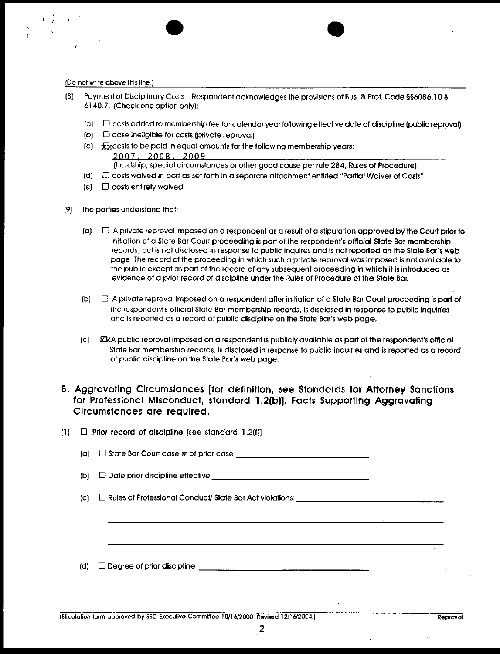- Payment of Disciplinary Costs--Respondent acknowledges the provisions of Bus. & Prof. Code §§6086.10 & 6] 40.7. [Check one option only):
	- {a) D costs added to membership fee for calendar year following effective date of discipline [public reproval]
	- $(D)$  $\square$  case ineligible for costs (private reproval)
	- $(c)$  :  $\overline{\mathbf{x}}$   $\mathbf{x}$  costs to be paid in equal amounts for the following membership years: 2NN7; 2NNR: 2009
		- {hardship, special circumstances or other good cause per rule 284, Rules of Procedure)
	- (d} [] costs waived in port as set forth in a separate attachment entitled "Parliol Waiver of Costs"
	- $(e)$   $\Box$  costs entirely waived
- (9) The paffies understand that:
	- $[$ a)  $\Box$  A private reproval imposed on a respondent as a result of a stipulation approved by the Court prior to initiation of a State Bar Court proceeding is part of the respondent's official State Bar membership records, but is not disclosed in response to public inquires and is not reported on the State Bar's web page. The record of the proceeding in which such a private reproval was imposed is not available to the public except as part of the record of any subsequent proceeding in which it is introduced **as** evidence of a prior record of discipline under the Rules of Procedure of the State 8at.
	- (b)  $\Box$  A private reproval imposed on a respondent after initiation of a State Bar Court proceeding is part of lhe tespondent's official State Bar membership records, is disclosed in response to public inquiries and is reporled as a record of public discipline on the State Bar's web page.
	- ${c}$   $\overline{K}$  R public reproval imposed on a respondent is publicly available as part of the respondent's official State Bar membership records, is disclosed in response to public inquiries and is reported as a record of public discipline on the State Bar's web page.

### **B. Aggravating Circumstances [for definition, see Standards for Attorney Sanctions for Professional Misconduct, standard 1.2[b]]. Facts Supporting Aggravating Circumstances are required.**

| (1) |                    | $\Box$ Prior record of discipline [see standard 1.2(f)] |  |  |
|-----|--------------------|---------------------------------------------------------|--|--|
|     | $\left( 0 \right)$ |                                                         |  |  |
|     | (b)                |                                                         |  |  |
|     | $\left( c\right)$  |                                                         |  |  |
|     |                    |                                                         |  |  |
|     |                    |                                                         |  |  |
|     | (d)                |                                                         |  |  |
|     |                    |                                                         |  |  |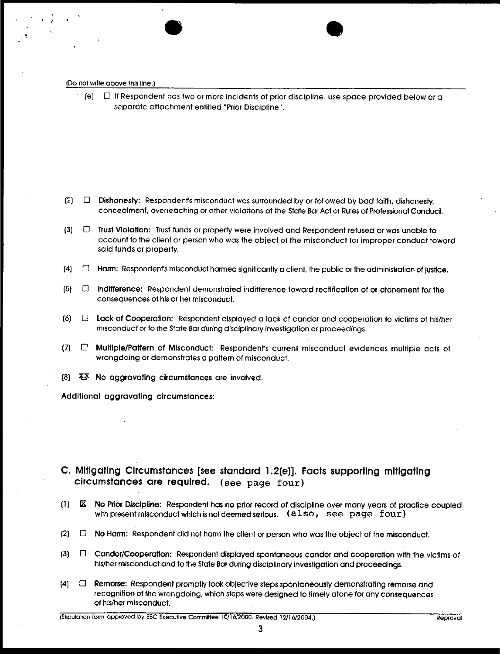(e)  $\Box$  If Respondent has two or more incidents of prior discipline, use space provided below or a separate attachment entitled "Prior Discipline".

- $(2)$   $\Box$  Dishonesty: Respondent's misconduct was surrounded by or followed by bad faith, dishonesty, concealment, overreaching or other violations of lhe State Bar Act or Rules of Professional Conduct.
- $(3)$  $\square$  Trust Violation: Trust funds or property were involved and Respondent refused or was unable to account fo the client or person who was the object of the misconduct for improper conduct toward said funds or property.
- $(4)$   $\Box$  Harm: Respondent's misconduct harmed significantly a client, the public or the administration of justice.
- $(5)$   $\Box$  indifference: Respondent demonstrated indifference toward rectification of or atonement for the consequences of his or her misconduct.
- (6J **[]**  $\Box$  Lack of Cooperation: Respondent displayed a lack of candor and cooperation to victims of his/her misconduct or to the State Bar during disciplinary investigation or proceedings.
- $(7)$   $\Box$ Multiple/Pattern of Misconduct: Respondent's current misconduct evidences multiple acts of wrongdoing or demonstrates o paltem of misconduct.
- $(8)$   $\mathbb{X}$  No aggravating circumstances are involved.

**Additional aggravating circumstances:**

- **C. Mltlgatlng Clrcumstances [see standard 1.2[e]]. Facts supporting mitigating circumstances are required. (see page four)**
- (I} [] No Pdor Discipline: Respondenl has no prior record of discipline over many years of practice **coupled** with present misconduct which is not deemed serious.  $(also, see, page, four)$
- $[2]$   $\Box$  No Harm: Respondent did not harm the client or person who was the object of the misconduct.
- $(3)$   $\Box$  Candor/Cooperation: Respondent displayed spontaneous candor and cooperation with the victims of his/her misconduct and to the State Bar during disciplinary investigation and proceedings.
- **(4] [] Remorse:** Respondenl promptly took objective steps spontaneously demonstrating remorse and recognition of the wrongdoing, which sleps were designed to timely atone for any consequences of hls/her misconduct.

**3**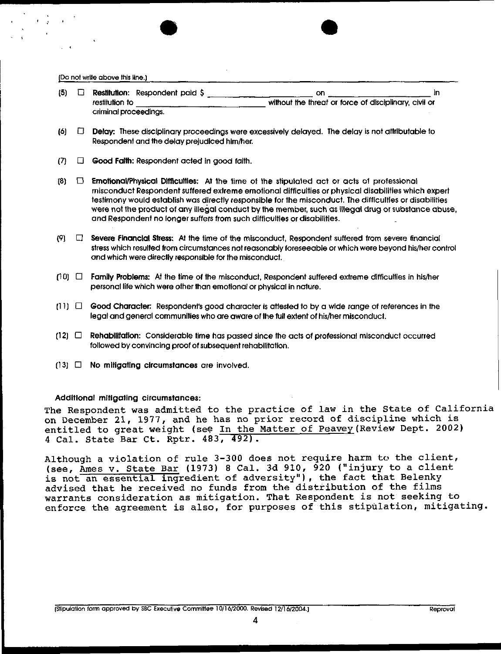(Do not write above this line.) **(5] []** Restitution: Respondent paid \$ on \_\_\_\_\_\_\_\_\_\_\_\_\_\_\_\_\_\_\_\_\_\_\_\_\_\_\_\_\_\_\_\_\_\_ in without the threat or force of disciplinary, civil or restitution to criminal proceedings. (6) [] Delay:. These disciplinary proceedings were excessively delayed. The delay is not attributable to Respondent and the delay prejudiced him/her.  $(7)$   $\Box$  Good Faith: Respondent acted in good faith. **{8}**  $\Box$  **Emotional/Physical Difficulties:** At the time of the stipulated act or acts of professional misconduct Respondent suffered extreme emotional difficulties or physical disabilities which expert testimony would establish was directly responsible for the misconduct. The ditficultles or disabilities were not the product of any illegal conduct by the member, such as illegal drug or substance abuse, and Respondent no longer suffers from such difficulties or disabilities. 191.  $\Box$  Severe Financial Stress: At the time of the misconduct, Respondent suffered from severe financial stress which resulted from circumstances not reasonably foreseeable or which were beyond his/her control and which were directly responsible for the misconduct.  $(10)$   $\Box$  Family Problems: At the time of the misconduct, Respondent suffered extreme difficulties in his/her personal life which were other than emotional or physical in nature.  $(11)$   $\Box$  Good Character: Respondent's good character is attested to by a wide range of references in the legal and general communities who are aware of the full extent of his/her misconduct. (12] [] Rehabilitation: Considerable time has passed since the acts of professional misconduct occurred followed by convincing proof of subsequent rehabilitation. {~3J [] No **mitigating clrcumstances** are involved. **Additional mitigating circumstances:** The Respondent was admitted to the practice of law in the State of California on December 21, 1977, and he has no prior record of discipline which is

Although a violation of rule 3-300 does not require harm to the client, (see, Ames v. State Bar (1973) 8 Cal. 3d 910, 920 ("injury to a client is not an essential ingredient of adversity"), the fact that Belenky advised that he received no funds from the distribution of the films warrants consideration as mitigation. That Respondent is not seeking to enforce the agreement is also, for purposes of this stipulation, mitigating.

entitled to great weight (see In the Matter of Peavey (Review Dept. 2002)

4 Cal. State Bar Ct. Rptr. 483, 492).

4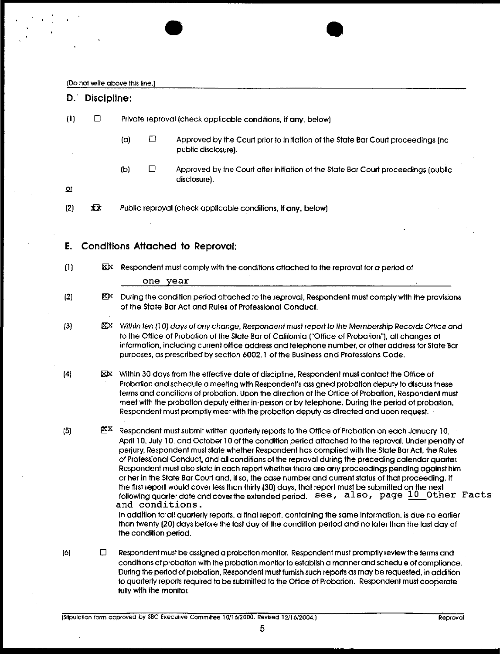$\mathcal{L}$ 

|                         | D. Discipline: |     |                         |                                                                                                                                                                                                                                                                                                                                                                                                                                                                                                                                                                                                                                                                                                                                                                                                                                                                                                                                                                                                                                                                 |
|-------------------------|----------------|-----|-------------------------|-----------------------------------------------------------------------------------------------------------------------------------------------------------------------------------------------------------------------------------------------------------------------------------------------------------------------------------------------------------------------------------------------------------------------------------------------------------------------------------------------------------------------------------------------------------------------------------------------------------------------------------------------------------------------------------------------------------------------------------------------------------------------------------------------------------------------------------------------------------------------------------------------------------------------------------------------------------------------------------------------------------------------------------------------------------------|
| (1)                     | □              |     |                         | Private reproval (check applicable conditions, if any, below)                                                                                                                                                                                                                                                                                                                                                                                                                                                                                                                                                                                                                                                                                                                                                                                                                                                                                                                                                                                                   |
|                         |                | (a) | $\Box$                  | Approved by the Court prior to initiation of the State Bar Court proceedings (no<br>public disclosure).                                                                                                                                                                                                                                                                                                                                                                                                                                                                                                                                                                                                                                                                                                                                                                                                                                                                                                                                                         |
| $\pmb{\mathsf{\Omega}}$ |                | (b) | □                       | Approved by the Court after initiation of the State Bar Court proceedings (public<br>disclosure).                                                                                                                                                                                                                                                                                                                                                                                                                                                                                                                                                                                                                                                                                                                                                                                                                                                                                                                                                               |
| (2)                     | xx             |     |                         | Public reproval (check applicable conditions, if any, below)                                                                                                                                                                                                                                                                                                                                                                                                                                                                                                                                                                                                                                                                                                                                                                                                                                                                                                                                                                                                    |
| E.                      |                |     |                         | <b>Conditions Attached to Reproval:</b>                                                                                                                                                                                                                                                                                                                                                                                                                                                                                                                                                                                                                                                                                                                                                                                                                                                                                                                                                                                                                         |
| (1)                     |                |     | one year                | EX Respondent must comply with the conditions attached to the reproval for a period of                                                                                                                                                                                                                                                                                                                                                                                                                                                                                                                                                                                                                                                                                                                                                                                                                                                                                                                                                                          |
| (2)                     | XΧ.            |     |                         | During the condition period attached to the reproval, Respondent must comply with the provisions<br>of the State Bar Act and Rules of Professional Conduct.                                                                                                                                                                                                                                                                                                                                                                                                                                                                                                                                                                                                                                                                                                                                                                                                                                                                                                     |
| $\left\{3\right\}$      | ⊠×             |     |                         | Within ten (10) days of any change, Respondent must report to the Membership Records Office and<br>to the Office of Probation of the State Bar of California ("Office of Probation"), all changes of<br>information, including current office address and telephone number, or other address for State Bar<br>purposes, as prescribed by section 6002.1 of the Business and Professions Code.                                                                                                                                                                                                                                                                                                                                                                                                                                                                                                                                                                                                                                                                   |
| (4)                     |                |     |                         | <b>EX</b> Within 30 days from the effective date of discipline, Respondent must contact the Office of<br>Probation and schedule a meeting with Respondent's assigned probation deputy to discuss these<br>terms and conditions of probation. Upon the direction of the Office of Probation, Respondent must<br>meet with the probation deputy either in-person or by telephone. During the period of probation,<br>Respondent must promptly meet with the probation deputy as directed and upon request.                                                                                                                                                                                                                                                                                                                                                                                                                                                                                                                                                        |
| (5)                     | <b>MAX</b>     |     | the condition period.   | Respondent must submit written quarterly reports to the Office of Probation on each January 10,<br>April 10, July 10, and October 10 of the condition period attached to the reproval. Under penalty of<br>perjury, Respondent must state whether Respondent has complied with the State Bar Act, the Rules<br>of Professional Conduct, and all conditions of the reproval during the preceding calendar quarter.<br>Respondent must also state in each report whether there are any proceedings pending against him<br>or her in the State Bar Court and, if so, the case number and current status of that proceeding. If<br>the first report would cover less than thirty (30) days, that report must be submitted on the next<br>following quarter date and cover the extended period. see, also, page 10 Other Facts<br>and conditions.<br>In addition to all quarterly reports, a final report, containing the same information, is due no earlier<br>than twenty (20) days before the last day of the condition period and no later than the last day of |
| (6)                     | □              |     | fully with the monitor. | Respondent must be assigned a probation monitor. Respondent must promptly review the terms and<br>conditions of probation with the probation monitor to establish a manner and schedule of compliance.<br>During the period of probation, Respondent must furnish such reports as may be requested, in addition<br>to quarterly reports required to be submitted to the Office of Probation. Respondent must cooperate                                                                                                                                                                                                                                                                                                                                                                                                                                                                                                                                                                                                                                          |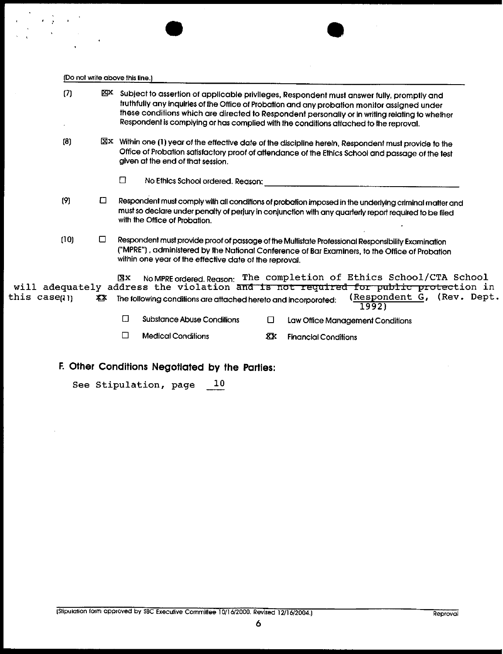|             |      |     | (Do not write above this line.)                                                                                                                                                                                                                                                                                                                                                      |                            |
|-------------|------|-----|--------------------------------------------------------------------------------------------------------------------------------------------------------------------------------------------------------------------------------------------------------------------------------------------------------------------------------------------------------------------------------------|----------------------------|
|             | (7)  | xрх | Subject to assertion of applicable privileges, Respondent must answer fully, promptly and<br>truthfully any inquiries of the Office of Probation and any probation monitor assigned under<br>these conditions which are directed to Respondent personally or in writing relating to whether<br>Respondent is complying or has complied with the conditions attached to the reproval. |                            |
|             | (3)  |     | $\boxtimes$ Within one (1) year of the effective date of the discipline herein, Respondent must provide to the<br>Office of Probation satisfactory proof of attendance of the Ethics School and passage of the test<br>given at the end of that session.<br>□<br>No Ethics School ordered. Reason:                                                                                   |                            |
|             | (9)  | □   | Respondent must comply with all conditions of probation imposed in the underlying criminal matter and<br>must so declare under penalty of perjury in conjunction with any quarterly report required to be filed<br>with the Office of Probation.                                                                                                                                     |                            |
|             | (10) | ப   | Respondent must provide proof of passage of the Multistate Professional Responsibility Examination<br>("MPRE"), administered by the National Conference of Bar Examiners, to the Office of Probation<br>within one year of the effective date of the reproval.                                                                                                                       |                            |
| this caseun |      | XX. | The completion of Ethics School/CTA School<br>XХ<br>No MPRE ordered. Reason:<br>will adequately address the violation and is not required for public protection in<br>The following conditions are attached hereto and incorporated:<br>1992)                                                                                                                                        | (Respondent G, (Rev. Dept. |
|             |      |     | Π<br>Substance Abuse Conditions<br>◻<br>Law Office Management Conditions                                                                                                                                                                                                                                                                                                             |                            |
|             |      |     | П<br><b>Medical Conditions</b><br>区<br><b>Financial Conditions</b>                                                                                                                                                                                                                                                                                                                   |                            |

**E Other Conditions Negotiated by** the Parties:

See Stipulation, page  $10$ 

 $\label{eq:2} \begin{split} \mathcal{L}=\frac{1}{2}\sum_{\mathbf{k}}\left(\mathbf{r}_{\mathbf{k}}\right)^{2}\mathbf{r}_{\mathbf{k}}\left(\mathbf{r}_{\mathbf{k}}\right)\\ =\frac{1}{2}\sum_{\mathbf{k}}\left(\mathbf{r}_{\mathbf{k}}\right)^{2}\mathbf{r}_{\mathbf{k}}\left(\mathbf{r}_{\mathbf{k}}\right)\\ =\frac{1}{2}\sum_{\mathbf{k}}\left(\mathbf{r}_{\mathbf{k}}\right)^{2}\mathbf{r}_{\mathbf{k}}\left(\mathbf{r}_{\mathbf{k}}\right)\\ =\frac{1}{2}\sum_{\mathbf{k}}\left(\mathbf$ 

 $\cdot$ 

 $\ddot{\phantom{a}}$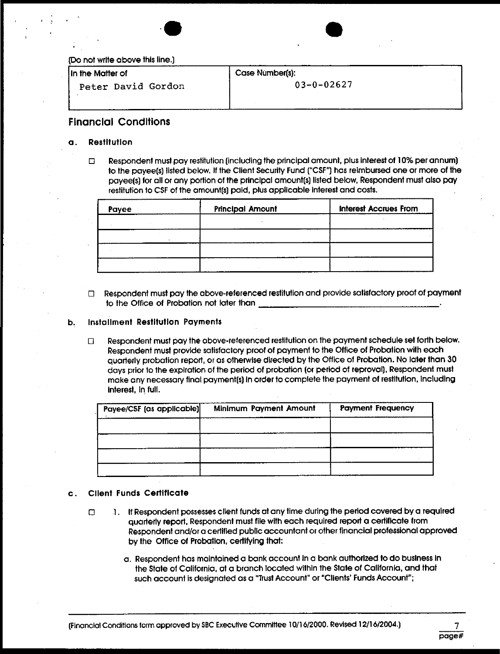

**J ln** the Matter **of**

.Peter David Gordon

Case Number(s):

03-0-02627

# **Flnancial Condltions**

#### a. Restltutlon

Respondent must pay restitution (including the principal amount, plus interest of 10% per annum)  $\Box$ to the payee(s) listed below. If the Client Security Fund ["CSF"] has reimbursed one or more of the payee(s) for all or any portion of the principal amount(s) listed below, Respondent must also pay restitution to CSF of the amount(s) paid, plus applicable interest and costs.

| Payee | <b>Principal Amount</b> | <b>Interest Accrues From</b> |
|-------|-------------------------|------------------------------|
|       |                         |                              |
|       |                         |                              |
|       |                         |                              |
|       |                         |                              |

E Respondent must pay the above-referenced restitution and provide satisfactory proof of payment to lhe Office of Probation not later than

#### **b. Installment Restltutlon Payments**

 $\Box$ Respondent must pay the above-referenced restitution on the payment schedule set forth below. Respondent must provide satisfactory proof of payment to the Office of Probation with each quarterly probation report, or as otherwise directed by the Office of Probation. No later than 30 days prior to the expirotlon of the period of probation [or period of reproval], Respondent must make any necessary final payment(s) in order to complete the payment of restitution, including interest, in full.

| Payee/CSF (as applicable) | Minimum Payment Amount | <b>Payment Frequency</b> |
|---------------------------|------------------------|--------------------------|
|                           |                        |                          |
|                           |                        |                          |
|                           |                        |                          |
|                           |                        |                          |

#### c. Cllent Funds Certiflcate

- If Respondent possesses client funds at any time during the period covered by a required  $\Box$ quarterly reporl, Respondent must file with each required report a certificate from Respondent and/or a certified publlc accountant or other financial professional approved by the Office of Probation, certifying that:
	- a, Respondent has maintained a bank account in a bank authorized to do buslness in the State of California, at a branch located within the State of California, and that such account is designated as a "Trust Account" or "Clients' Funds Account";

page#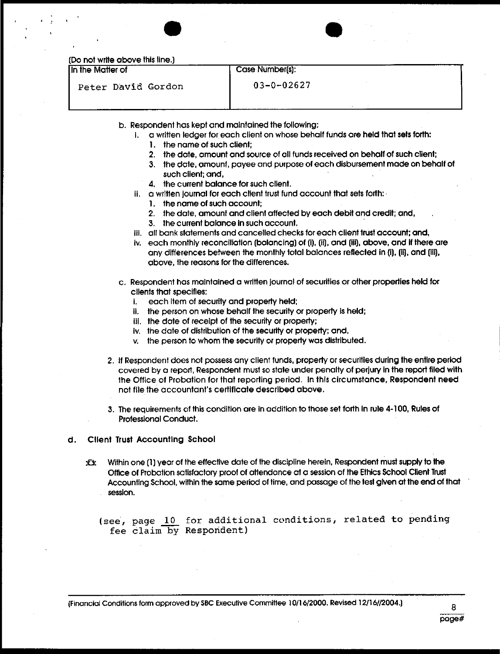|  |  |  | (Do not write above this line.) |  |  |
|--|--|--|---------------------------------|--|--|
|--|--|--|---------------------------------|--|--|

In the Matter of

# Case Number[s]:

Peter David Gordon

03-0-02627

- b. Respondent has kept and maintained the following:
	- I. a written ledger for each client on whose behalf funds are held that sets forth:
		- I. the name of such client;
		- 2. the date, amount and source of all funds received on behalf of such client;
		- 3. the dale, amount, payee and purpose of each disbursement made on behalf of such client; and,
		- 4. the current balance for such client.
	- it. a written journal for each client trust fund account that sets forth:
		- I, the name of such account;
		- 2. the date, amount and client affected by each debit and credit; and,
		- 3. the current balance in such account.
	- ill. all bank statements and cancelled checks for each client trust account; and,
	- iv. each monthly reconciliation [balancing] of [i), [ii], and [ill), above, and if there are any differences between the monthly total balances reflected in (i), (ii), and (iii), above, the reasons for the differences.
- c. Respondent has malntained a written journal of securities or other properties held for clients that specifies:
	- i. each item of security and property held;
	- it. the person on whose behalf the security or property is held;
	- iii. the date of receipt of the security or property;
	- iv. the date of distribution of the security or property; and,
	- v. the person to whom the security or property was distributed,
- 2. If Respondent does not possess any client funds, properly or securities during the entire period covered by a report, Respondent must so stale under penalty of perjury in the repod filed with the Office of Probation for that reporting period. In thls circumstance, Respondent **need** not file the accountant's certificate described above,
- 3. The requirements of this condition are in addition to those set forth In rule 4-100, Rules of Professional Conduct.

#### d. Cllent Trust Accounting School

ХX. Within one {1} year of the effective date of the discipline herein, Respondent must supply to the Office of Probation satisfactory proof of attendance at a session of the Ethics School Client Trust Accounting School, within the some period of time, and passage of the test given at the end of that session.

(see, page i0 for additional conditions, related to pending fee claim by Respondent)

{Financial Conditions form approved by SBC Executive Commiflee 10/I 6/2000, Revised 12/16//2004.} **8**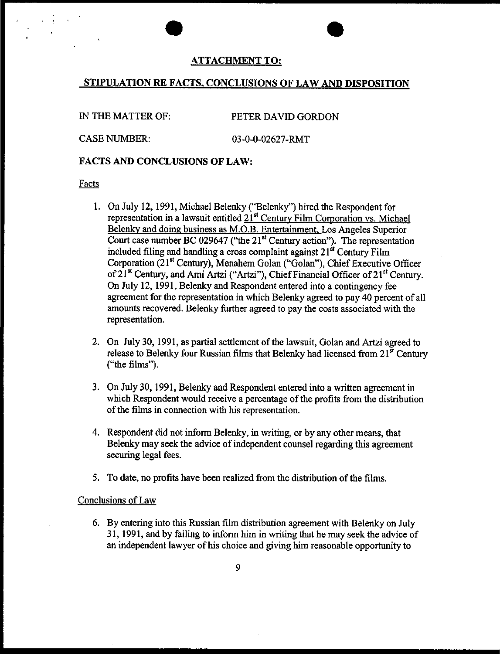### ATTACHMENT TO:

# STIPULATION RE FACTS, CONCLUSIONS OF LAW AND DISPOSITION

IN THE MATTER OF: PETER DAVID GORDON

CASE NUMBER: 03-0-0-02627-RMT

# FACTS AND CONCLUSIONS OF LAW:

#### Facts

- On July 12, 1991, Michael Belenky ("Belenky") hired the Respondent for representation in a lawsuit entitled  $21<sup>st</sup>$  Century Film Corporation vs. Michael Belenky and doing business as M.O.B. Entertainment, Los Angeles Superior Court case number BC 029647 ("the 21<sup>st</sup> Century action"). The representation included filing and handling a cross complaint against  $21<sup>st</sup>$  Century Film Corporation (21<sup>st</sup> Century), Menahem Golan ("Golan"), Chief Executive Officer of 21<sup>st</sup> Century, and Ami Artzi ("Artzi"), Chief Financial Officer of 21<sup>st</sup> Century. On July 12, 1991, Belenky and Respondent entered into a contingency fee agreement for the representation in which Belenky agreed to pay 40 percent of all amounts recovered. Belenky further agreed to pay the costs associated with the representation.
- On July 30, 1991, as partial settlement of the lawsuit, Golan and Artzi agreed to release to Belenky four Russian films that Belenky had licensed from  $21^{st}$  Century ("the films").
- On July 30, 1991, Belenky and Respondent entered into a written agreement in which Respondent would receive a percentage of the profits from the distribution of the films in connection with his representation.
- 4. Respondent did not inform Belenky, in writing, or by any other means, that Belenky may seek the advice of independent counsel regarding this agreement securing legal fees.
- 5. To date, no profits have been realized from the distribution of the films.

### Conclusions of Law

6. By entering into this Russian film distribution agreement with Belenky on July 31, 1991, and by failing to inform him in writing that he may seek the advice of an independent lawyer of his choice and giving him reasonable opportunity to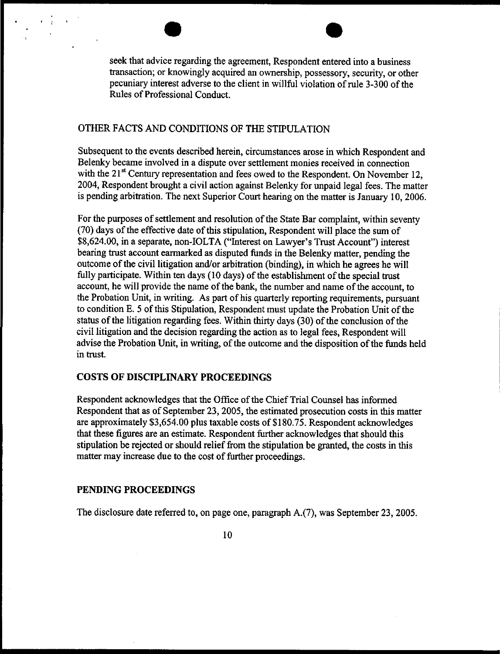seek that advice regarding the agreement, Respondent entered into a business transaction; or knowingly acquired an ownership, possessory, security, or other pecuniary interest adverse to the client in willful violation of role 3-300 of the Rules of Professional Conduct.

# OTHER FACTS AND CONDITIONS OF THE STIPULATION

Subsequent to the events described herein, circumstances arose in which Respondent and Belenky became involved in a dispute over settlement monies received in connection with the 21<sup>st</sup> Century representation and fees owed to the Respondent. On November 12, 2004, Respondent brought a civil action against Belenky for unpaid legal fees. The matter is pending arbitration. The next Superior Court hearing on the matter is January 10, 2006.

For the purposes of settlement and resolution of the State Bar complaint, within seventy (70) days of the effective date of this stipulation, Respondent will place the sum of \$8,624.00, in a separate, non-IOLTA ("Interest on Lawyer's Trust Account") interest bearing trust account earmarked as disputed funds in the Belenky matter, pending the outcome of the civil litigation and/or arbitration (binding), in which he agrees he will fully participate. Within ten days (10 days) of the establishment of the special trust account, he will provide the name of the bank, the number and name of the account, to the Probation Unit, in writing. As part of his quarterly reporting requirements, pursuant to condition E. 5 of this Stipulation, Respondent must update the Probation Unit of the status of the litigation regarding fees. Within thirty days (30) of the conclusion of the civil litigation and the decision regarding the action as to legal fees, Respondent will advise the Probation Unit, in writing, of the outcome and the disposition of the funds held in trust.

### COSTS OF DISCIPLINARY PROCEEDINGS

Respondent acknowledges that the Office of the Chief Trial Counsel has informed Respondent that as of September 23, 2005, the estimated prosecution costs in this matter are approximately \$3,654.00 plus taxable costs of \$180.75. Respondent acknowledges that these figures are an estimate. Respondent further acknowledges that should this stipulation be rejected or should relief from the stipulation be granted, the costs in this matter may increase due to the cost of further proceedings.

### **PENDING PROCEEDINGS**

The disclosure date referred to, on page one, paragraph A.(7), was September 23, 2005.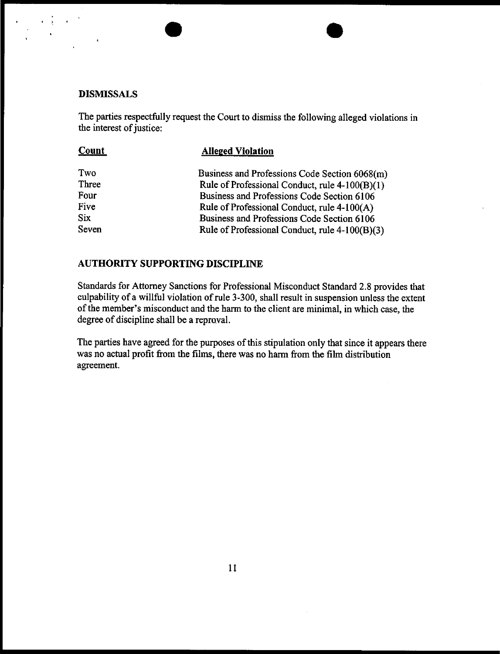## **DISMISSALS**

The parties respectfully request the Court to dismiss the following alleged violations in the interest of justice:

| Count | <b>Alleged Violation</b>                       |
|-------|------------------------------------------------|
| Two   | Business and Professions Code Section 6068(m)  |
| Three | Rule of Professional Conduct, rule 4-100(B)(1) |
| Four  | Business and Professions Code Section 6106     |
| Five  | Rule of Professional Conduct, rule 4-100(A)    |
| Six   | Business and Professions Code Section 6106     |
| Seven | Rule of Professional Conduct, rule 4-100(B)(3) |

## AUTHORITY SUPPORTING DISCIPLINE

Standards for Attorney Sanctions for Professional Misconduct Standard 2.8 provides that culpability of a willful violation of rule 3-300, shall result in suspension unless the extent of the member's misconduct and the harm to the client are minimal, in which case, the degree of discipline shall be a repraval.

The parties have agreed for the purposes of this stipulation only that since it appears there was no actual profit from the films, there was no harm from the film distribution agreement.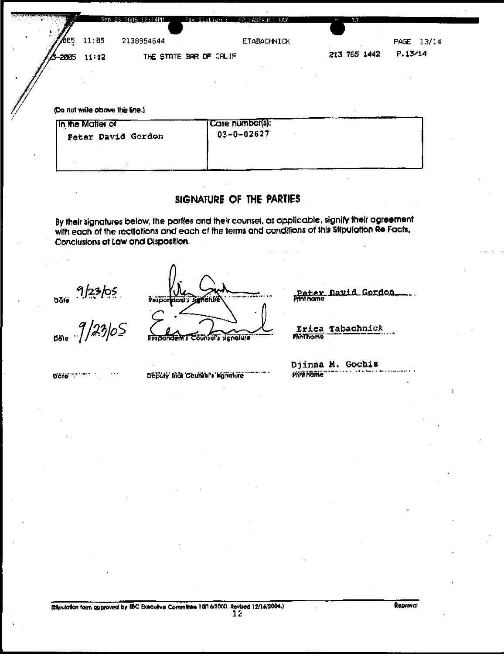бо5 11:05 2138954644 ETABACHNICK PAGE 13/14  $P.13/14$ 213 765 1442 THE STATE BAR OF CALIF 2005  $11:12$ 

(Do not write above this line.)

| <b>In the Matter of</b> | Case number(s):  |
|-------------------------|------------------|
| Peter David Gordon      | $03 - 0 - 02627$ |
|                         |                  |

# **SIGNATURE OF THE PARTIES**

By their signatures below, the portles and their counsel, as opplicable, signify their agreement with each of the recltotions and each of the terms and conditions of this Stipulation Re Facts, Conclusions of Law and Disposition.

 $\frac{9}{2365}$ <br> $\frac{9}{2365}$ 

Respo den"s signalure nser,

<u>Pater David Gordon</u> nome

Erica Tabachnick **Pinthome** 

bale "." ""

Deputy trial Counters lignolure

Djinna M, Gochls Piři föfre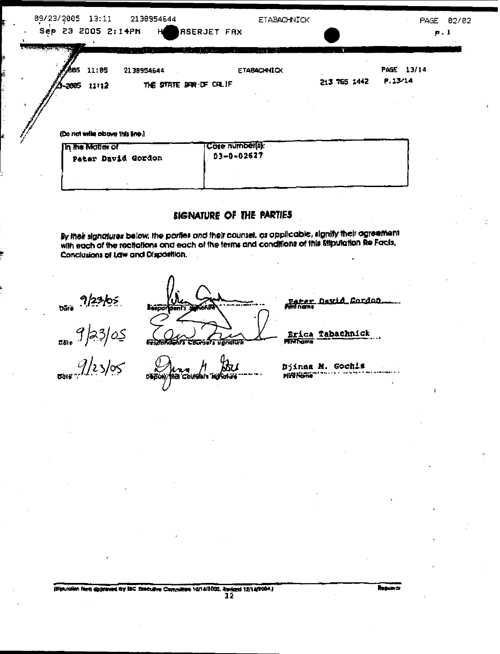| 09/23/2005 13:11 |       | 2138954644                                  |                         | <b>ETABACHNICK</b> |              | PAGE       | 02/02 |
|------------------|-------|---------------------------------------------|-------------------------|--------------------|--------------|------------|-------|
|                  |       | Sep 23 2005 2:14PM HeaserJET FAX            |                         |                    |              |            | p.1   |
|                  |       | the man of the second company of the second | daelda och mels områ ∆i |                    | mar 19       |            |       |
| J RB5            | 11:05 | 2138954644                                  |                         | <b>ETABACHNICK</b> |              | PAGE 13/14 |       |
| <b>A</b> -2005   | 11112 |                                             | THE STATE SAR DF CALIF  |                    | 213 765 1442 | P.13/14    |       |

(Do not write planye this line.)

| <b>In the Motion of</b> | <b>TCase number(s):</b> |
|-------------------------|-------------------------|
| Peter David Gordon      | $03 - 0 - 02627$        |
|                         |                         |

# SIGNATURE OF THE PARTIES

By their signatures below, the parties and their counsel, as applicable, signify their agreement ey mea signatures below, the pomes ond mea counter, or oppication again, then executive Conclusions of Law and Disposition.

 $\frac{9}{23}/25$ 

 $\frac{9}{2}$ 

| hoj<br>m<br>rage.<br>68 |  |
|-------------------------|--|
| p                       |  |

iai Colmán I

 $\Lambda$ 

**DeBu** 

<u> Cordon</u> <u>David</u> <u>Patar</u>

Tabachnick

Erica 用灯片方面

Djinna M. Gochis **Pill Home**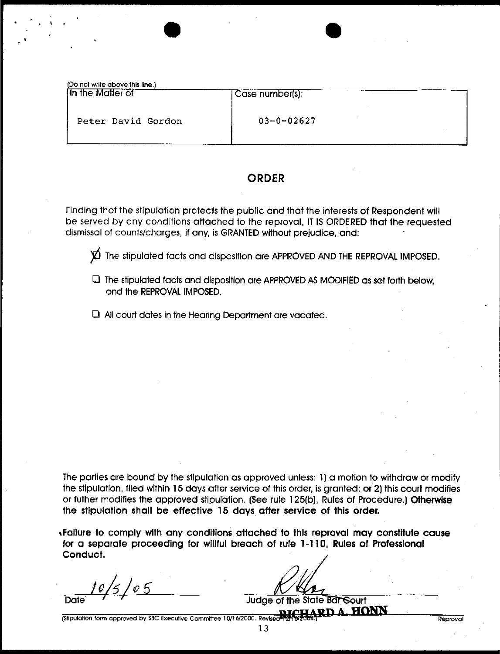| (Do not write above this line.)<br>In the Matter of | Case number(s):  |
|-----------------------------------------------------|------------------|
| Peter David Gordon                                  | $03 - 0 - 02627$ |

# **ORDER**

Finding that the stipulation protects the public and that the interests of Respondent will be served by any conditions attached to the reproval, IT IS ORDERED that the requested dismissal of counts/charges, if any, is GRANTED without prejudice, and:

 $\cancel{\text{Y}}$  The stipulated facts and disposition are APPROVED AND THE REPROVAL IMPOSED.

- $\Box$  The stipulated facts and disposition are APPROVED AS MODIFIED as set forth below, and the REPROVAL IMPOSED.
- $\Box$  All court dates in the Hearing Department are vacated.

The parties are bound by the stipulation as approved unless: 1] a motion to withdraw or modify the stipulation, tiled within 15 days after service of this order, is granted; or 2) this court modifies or futher modifies the approved stipulation. (See rule 125(b), Rules of Procedure.) Otherwise **the stipulation shall be** effective 15 days after service of this order.

~Fallure to comply wlth any conditions attached to thls reproval may constitute **cause** for **a separate proceeding** for willful **breach of** rule 1-110, **Rules of Professional** Conduct.

 $\frac{1}{5}$  /  $\circ$  5 Date

Judge of the State **Bar Sourt** 

Reprova

(Stipulation form approved by SBC Executive Committee 10/16/2000. Revised

3.3